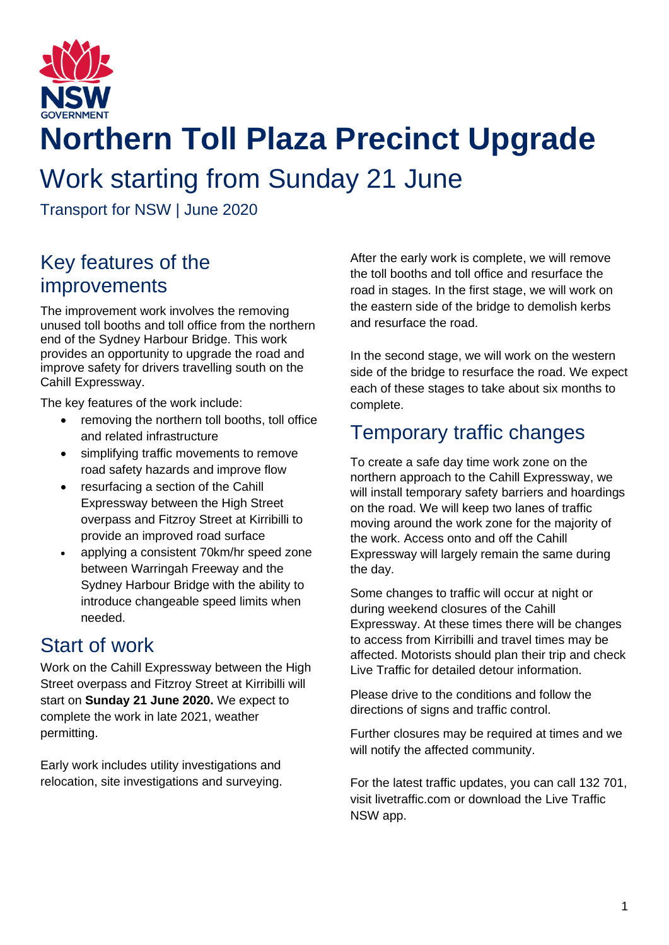

# **Northern Toll Plaza Precinct Upgrade**

# Work starting from Sunday 21 June

Transport for NSW | June 2020

### Key features of the improvements

The improvement work involves the removing unused toll booths and toll office from the northern end of the Sydney Harbour Bridge. This work provides an opportunity to upgrade the road and improve safety for drivers travelling south on the Cahill Expressway.

The key features of the work include:

- removing the northern toll booths, toll office and related infrastructure
- simplifying traffic movements to remove road safety hazards and improve flow
- resurfacing a section of the Cahill Expressway between the High Street overpass and Fitzroy Street at Kirribilli to provide an improved road surface
- applying a consistent 70km/hr speed zone between Warringah Freeway and the Sydney Harbour Bridge with the ability to introduce changeable speed limits when needed.

## Start of work

Work on the Cahill Expressway between the High Street overpass and Fitzroy Street at Kirribilli will start on **Sunday 21 June 2020.** We expect to complete the work in late 2021, weather permitting.

Early work includes utility investigations and relocation, site investigations and surveying. After the early work is complete, we will remove the toll booths and toll office and resurface the road in stages. In the first stage, we will work on the eastern side of the bridge to demolish kerbs and resurface the road.

In the second stage, we will work on the western side of the bridge to resurface the road. We expect each of these stages to take about six months to complete.

#### Temporary traffic changes

To create a safe day time work zone on the northern approach to the Cahill Expressway, we will install temporary safety barriers and hoardings on the road. We will keep two lanes of traffic moving around the work zone for the majority of the work. Access onto and off the Cahill Expressway will largely remain the same during the day.

Some changes to traffic will occur at night or during weekend closures of the Cahill Expressway. At these times there will be changes to access from Kirribilli and travel times may be affected. Motorists should plan their trip and check Live Traffic for detailed detour information.

Please drive to the conditions and follow the directions of signs and traffic control.

Further closures may be required at times and we will notify the affected community.

For the latest traffic updates, you can call 132 701, visit livetraffic.com or download the Live Traffic NSW app.